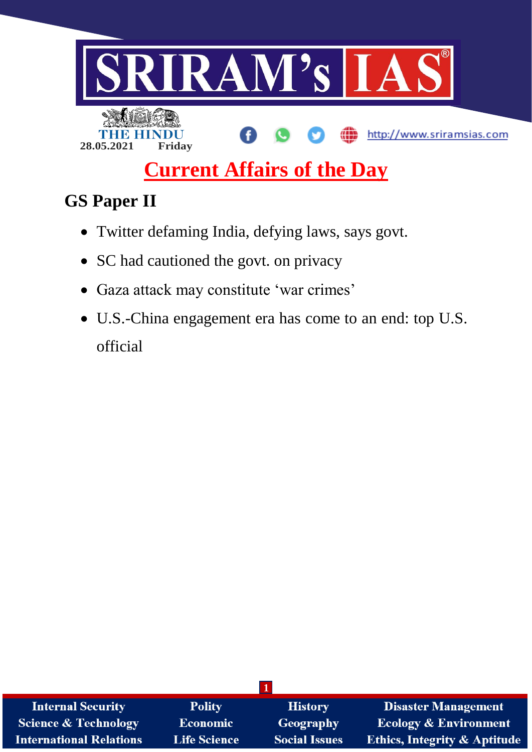

# **Current Affairs of the Day**

## **GS Paper II**

- Twitter defaming India, defying laws, says govt.
- SC had cautioned the govt. on privacy
- Gaza attack may constitute 'war crimes'
- U.S.-China engagement era has come to an end: top U.S. official

| <b>Internal Security</b>       | <b>Polity</b>       | <b>History</b>       | <b>Disaster Management</b>              |
|--------------------------------|---------------------|----------------------|-----------------------------------------|
| Science & Technology           | <b>Economic</b>     | Geography            | <b>Ecology &amp; Environment</b>        |
| <b>International Relations</b> | <b>Life Science</b> | <b>Social Issues</b> | <b>Ethics, Integrity &amp; Aptitude</b> |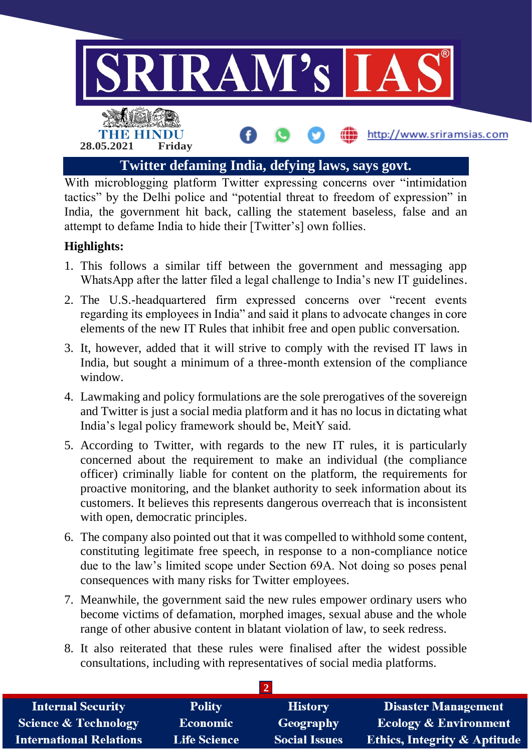

With microblogging platform Twitter expressing concerns over "intimidation tactics" by the Delhi police and "potential threat to freedom of expression" in India, the government hit back, calling the statement baseless, false and an attempt to defame India to hide their [Twitter's] own follies.

#### **Highlights:**

- 1. This follows a similar tiff between the government and messaging app WhatsApp after the latter filed a legal challenge to India's new IT guidelines.
- 2. The U.S.-headquartered firm expressed concerns over "recent events regarding its employees in India" and said it plans to advocate changes in core elements of the new IT Rules that inhibit free and open public conversation.
- 3. It, however, added that it will strive to comply with the revised IT laws in India, but sought a minimum of a three-month extension of the compliance window.
- 4. Lawmaking and policy formulations are the sole prerogatives of the sovereign and Twitter is just a social media platform and it has no locus in dictating what India's legal policy framework should be, MeitY said.
- 5. According to Twitter, with regards to the new IT rules, it is particularly concerned about the requirement to make an individual (the compliance officer) criminally liable for content on the platform, the requirements for proactive monitoring, and the blanket authority to seek information about its customers. It believes this represents dangerous overreach that is inconsistent with open, democratic principles.
- 6. The company also pointed out that it was compelled to withhold some content, constituting legitimate free speech, in response to a non-compliance notice due to the law's limited scope under Section 69A. Not doing so poses penal consequences with many risks for Twitter employees.
- 7. Meanwhile, the government said the new rules empower ordinary users who become victims of defamation, morphed images, sexual abuse and the whole range of other abusive content in blatant violation of law, to seek redress.
- 8. It also reiterated that these rules were finalised after the widest possible consultations, including with representatives of social media platforms.

| <b>Internal Security</b>        | <b>Polity</b>       | <b>History</b>       | Disaster Management                     |
|---------------------------------|---------------------|----------------------|-----------------------------------------|
| <b>Science &amp; Technology</b> | <b>Economic</b>     | Geography            | <b>Ecology &amp; Environment</b>        |
| <b>International Relations</b>  | <b>Life Science</b> | <b>Social Issues</b> | <b>Ethics, Integrity &amp; Aptitude</b> |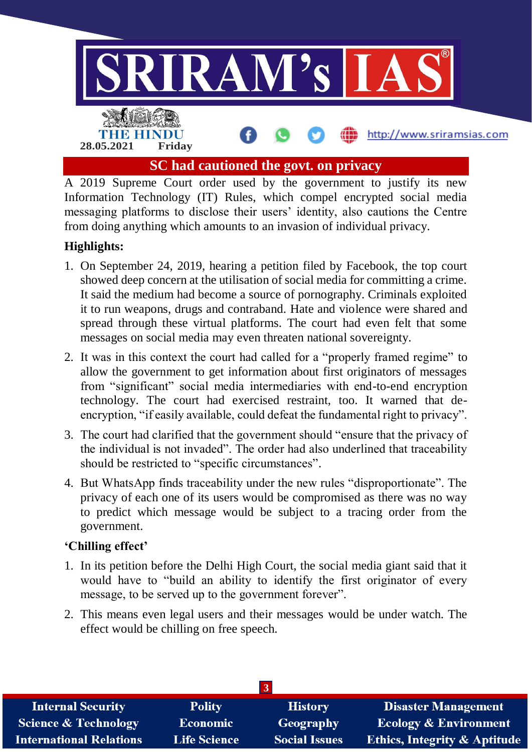

A 2019 Supreme Court order used by the government to justify its new Information Technology (IT) Rules, which compel encrypted social media messaging platforms to disclose their users' identity, also cautions the Centre from doing anything which amounts to an invasion of individual privacy.

#### **Highlights:**

- 1. On September 24, 2019, hearing a petition filed by Facebook, the top court showed deep concern at the utilisation of social media for committing a crime. It said the medium had become a source of pornography. Criminals exploited it to run weapons, drugs and contraband. Hate and violence were shared and spread through these virtual platforms. The court had even felt that some messages on social media may even threaten national sovereignty.
- 2. It was in this context the court had called for a "properly framed regime" to allow the government to get information about first originators of messages from "significant" social media intermediaries with end-to-end encryption technology. The court had exercised restraint, too. It warned that deencryption, "if easily available, could defeat the fundamental right to privacy".
- 3. The court had clarified that the government should "ensure that the privacy of the individual is not invaded". The order had also underlined that traceability should be restricted to "specific circumstances".
- 4. But WhatsApp finds traceability under the new rules "disproportionate". The privacy of each one of its users would be compromised as there was no way to predict which message would be subject to a tracing order from the government.

#### **'Chilling effect'**

- 1. In its petition before the Delhi High Court, the social media giant said that it would have to "build an ability to identify the first originator of every message, to be served up to the government forever".
- 2. This means even legal users and their messages would be under watch. The effect would be chilling on free speech.

| <b>Internal Security</b>        | <b>Polity</b>       | <b>History</b>       | <b>Disaster Management</b>              |
|---------------------------------|---------------------|----------------------|-----------------------------------------|
| <b>Science &amp; Technology</b> | <b>Economic</b>     | Geography            | <b>Ecology &amp; Environment</b>        |
| <b>International Relations</b>  | <b>Life Science</b> | <b>Social Issues</b> | <b>Ethics, Integrity &amp; Aptitude</b> |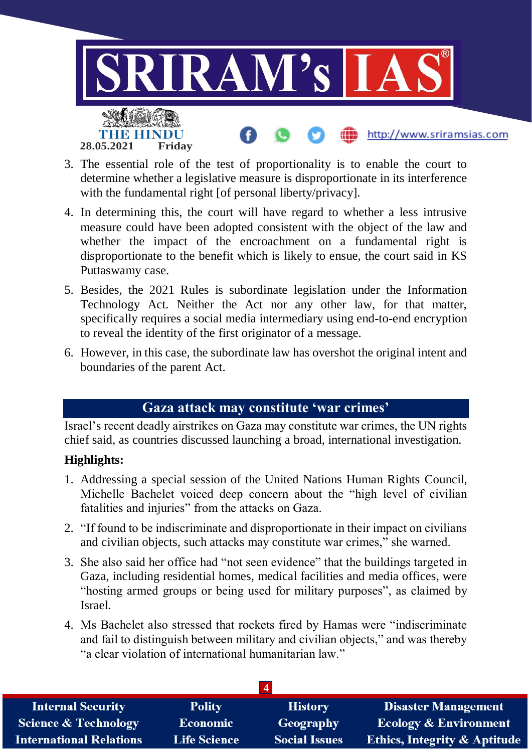

- 3. The essential role of the test of proportionality is to enable the court to determine whether a legislative measure is disproportionate in its interference with the fundamental right [of personal liberty/privacy].
- 4. In determining this, the court will have regard to whether a less intrusive measure could have been adopted consistent with the object of the law and whether the impact of the encroachment on a fundamental right is disproportionate to the benefit which is likely to ensue, the court said in KS Puttaswamy case.
- 5. Besides, the 2021 Rules is subordinate legislation under the Information Technology Act. Neither the Act nor any other law, for that matter, specifically requires a social media intermediary using end-to-end encryption to reveal the identity of the first originator of a message.
- 6. However, in this case, the subordinate law has overshot the original intent and boundaries of the parent Act.

### **Gaza attack may constitute 'war crimes'**

Israel's recent deadly airstrikes on Gaza may constitute war crimes, the UN rights chief said, as countries discussed launching a broad, international investigation.

#### **Highlights:**

- 1. Addressing a special session of the United Nations Human Rights Council, Michelle Bachelet voiced deep concern about the "high level of civilian fatalities and injuries" from the attacks on Gaza.
- 2. "If found to be indiscriminate and disproportionate in their impact on civilians and civilian objects, such attacks may constitute war crimes," she warned.
- 3. She also said her office had "not seen evidence" that the buildings targeted in Gaza, including residential homes, medical facilities and media offices, were "hosting armed groups or being used for military purposes", as claimed by Israel.
- 4. Ms Bachelet also stressed that rockets fired by Hamas were "indiscriminate and fail to distinguish between military and civilian objects," and was thereby "a clear violation of international humanitarian law."

| <b>Internal Security</b>        | <b>Polity</b>       | <b>History</b>       | Disaster Management                     |
|---------------------------------|---------------------|----------------------|-----------------------------------------|
| <b>Science &amp; Technology</b> | <b>Economic</b>     | Geography            | <b>Ecology &amp; Environment</b>        |
| <b>International Relations</b>  | <b>Life Science</b> | <b>Social Issues</b> | <b>Ethics, Integrity &amp; Aptitude</b> |